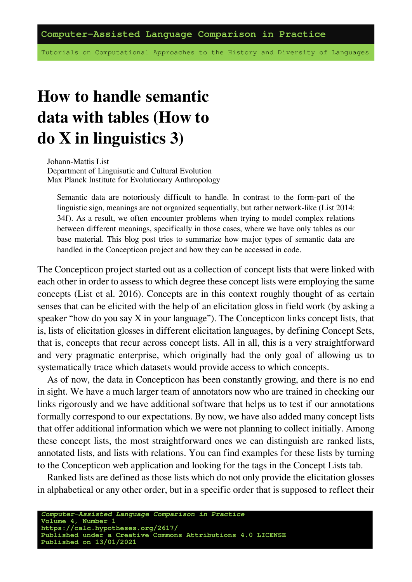Tutorials on Computational Approaches to the History and Diversity of Languages

# **How to handle semantic data with tables (How to do X in linguistics 3)**

Johann-Mattis List Department of Linguisutic and Cultural Evolution Max Planck Institute for Evolutionary Anthropology

Semantic data are notoriously difficult to handle. In contrast to the form-part of the linguistic sign, meanings are not organized sequentially, but rather network-like([List 2014:](https://digling.org/evobib/?bibtex=List2014d) [34f\)](https://digling.org/evobib/?bibtex=List2014d). As a result, we often encounter problems when trying to model complex relations between different meanings, specifically in those cases, where we have only tables as our base material. This blog post tries to summarize how major types of semantic data are handled in the Concepticon project and how they can be accessed in code.

The [Concepticon](https://concepticon.clld.org/) project started out as a collection of concept lists that were linked with each other in order to assess to which degree these concept lists were employing the same concepts [\(List et al. 2016](https://digling.org/evobib/?bibtex=List2016a)). Concepts are in this context roughly thought of as certain senses that can be elicited with the help of an elicitation gloss in field work (by asking a speaker "how do you say X in your language"). The Concepticon links concept lists, that is, lists of elicitation glosses in different elicitation languages, by defining Concept Sets, that is, concepts that recur across concept lists. All in all, this is a very straightforward and very pragmatic enterprise, which originally had the only goal of allowing us to systematically trace which datasets would provide access to which concepts.

As of now, the data in Concepticon has been constantly growing, and there is no end in sight. We have a much larger team of annotators now who are trained in checking our links rigorously and we have additional software that helps us to test if our annotations formally correspond to our expectations. By now, we have also added many concept lists that offer additional information which we were not planning to collect initially. Among these concept lists, the most straightforward ones we can distinguish are ranked lists, annotated lists, and lists with relations. You can find examples for these lists by turning to the Concepticon web application and looking for the tags in the Concept Lists tab.

Ranked lists are defined as those lists which do not only provide the elicitation glosses in alphabetical or any other order, but in a specific order that is supposed to reflect their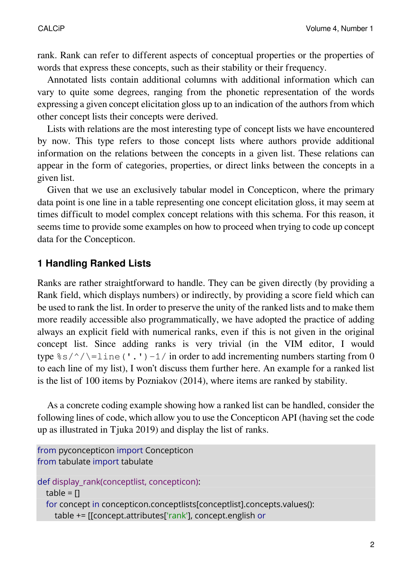rank. Rank can refer to different aspects of conceptual properties or the properties of words that express these concepts, such as their stability or their frequency.

Annotated lists contain additional columns with additional information which can vary to quite some degrees, ranging from the phonetic representation of the words expressing a given concept elicitation gloss up to an indication of the authors from which other concept lists their concepts were derived.

Lists with relations are the most interesting type of concept lists we have encountered by now. This type refers to those concept lists where authors provide additional information on the relations between the concepts in a given list. These relations can appear in the form of categories, properties, or direct links between the concepts in a given list.

Given that we use an exclusively tabular model in Concepticon, where the primary data point is one line in a table representing one concept elicitation gloss, it may seem at times difficult to model complex concept relations with this schema. For this reason, it seems time to provide some examples on how to proceed when trying to code up concept data for the Concepticon.

#### **1 Handling Ranked Lists**

Ranks are rather straightforward to handle. They can be given directly (by providing a Rank field, which displays numbers) or indirectly, by providing a score field which can be used to rank the list. In order to preserve the unity of the ranked lists and to make them more readily accessible also programmatically, we have adopted the practice of adding always an explicit field with numerical ranks, even if this is not given in the original concept list. Since adding ranks is very trivial (in the VIM editor, I would type  $s/s'/\$ =line('.')-1/ in order to add incrementing numbers starting from 0 to each line of my list), I won't discuss them further here. An example for a ranked list is the [list of 100 items](https://concepticon.clld.org/contributions/Pozdniakov-2014-100a) by Pozniakov (2014), where items are ranked by stability.

As a concrete coding example showing how a ranked list can be handled, consider the following lines of code, which allow you to use the Concepticon API (having set the code up as illustrated in [Tjuka 2019](https://calc.hypotheses.org/2225)) and display the list of ranks.

```
from pyconcepticon import Concepticon
from tabulate import tabulate
def display_rank(conceptlist, concepticon):
  table = <math>\Pi</math>for concept in concepticon.conceptlists[conceptlist].concepts.values():
     table += [[concept.attributes['rank'], concept.english or
```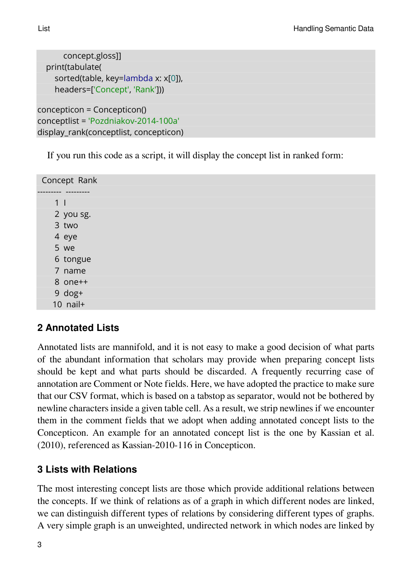```
concept.gloss]]
  print(tabulate(
    sorted(table, key=lambda x: x[0]),
    headers=['Concept', 'Rank']))
concepticon = Concepticon()
conceptlist = 'Pozdniakov-2014-100a'
display_rank(conceptlist, concepticon)
```
If you run this code as a script, it will display the concept list in ranked form:

Concept Rank --------- --------- 1 I 2 you sg. 3 two 4 eye 5 we 6 tongue 7 name 8 one++ 9 dog+ 10 nail+

### **2 Annotated Lists**

Annotated lists are mannifold, and it is not easy to make a good decision of what parts of the abundant information that scholars may provide when preparing concept lists should be kept and what parts should be discarded. A frequently recurring case of annotation are Comment or Note fields. Here, we have adopted the practice to make sure that our CSV format, which is based on a tabstop as separator, would not be bothered by newline characters inside a given table cell. As a result, we strip newlines if we encounter them in the comment fields that we adopt when adding annotated concept lists to the Concepticon. An example for an annotated concept list is the one by [Kassian et al.](https://digling.org/evobib/?bibtex=Kassian2010) [\(2010\)](https://digling.org/evobib/?bibtex=Kassian2010), referenced as [Kassian-2010-116](https://concepticon.clld.org/contributions/Kassian-2010-116) in Concepticon.

#### **3 Lists with Relations**

The most interesting concept lists are those which provide additional relations between the concepts. If we think of relations as of a graph in which different nodes are linked, we can distinguish different types of relations by considering different types of graphs. A very simple graph is an unweighted, undirected network in which nodes are linked by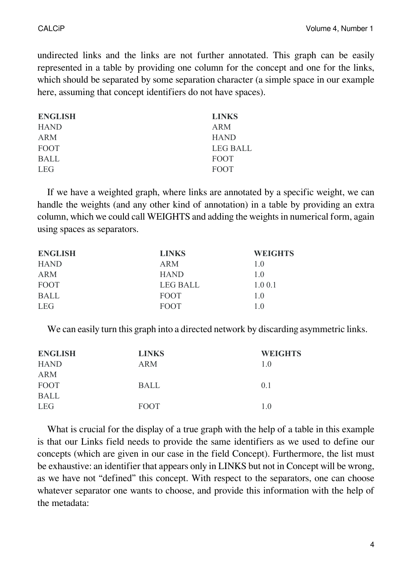undirected links and the links are not further annotated. This graph can be easily represented in a table by providing one column for the concept and one for the links, which should be separated by some separation character (a simple space in our example here, assuming that concept identifiers do not have spaces).

| <b>ENGLISH</b> | <b>LINKS</b>    |
|----------------|-----------------|
| <b>HAND</b>    | ARM             |
| <b>ARM</b>     | <b>HAND</b>     |
| <b>FOOT</b>    | <b>LEG BALL</b> |
| <b>BALL</b>    | <b>FOOT</b>     |
| <b>LEG</b>     | <b>FOOT</b>     |

If we have a weighted graph, where links are annotated by a specific weight, we can handle the weights (and any other kind of annotation) in a table by providing an extra column, which we could call WEIGHTS and adding the weights in numerical form, again using spaces as separators.

| <b>ENGLISH</b> | <b>LINKS</b>    | <b>WEIGHTS</b> |
|----------------|-----------------|----------------|
| <b>HAND</b>    | <b>ARM</b>      | 1 <sub>0</sub> |
| <b>ARM</b>     | <b>HAND</b>     | 1 <sub>0</sub> |
| FOOT           | <b>LEG BALL</b> | 1.00.1         |
| <b>BALL</b>    | <b>FOOT</b>     | 1.0            |
| <b>LEG</b>     | <b>FOOT</b>     | 1 <sub>0</sub> |

We can easily turn this graph into a directed network by discarding asymmetric links.

| <b>LINKS</b> | <b>WEIGHTS</b> |
|--------------|----------------|
| <b>ARM</b>   | 1.0            |
|              |                |
| <b>BALL</b>  | 0.1            |
|              |                |
| <b>FOOT</b>  | 1 <sub>0</sub> |
|              |                |

What is crucial for the display of a true graph with the help of a table in this example is that our Links field needs to provide the same identifiers as we used to define our concepts (which are given in our case in the field Concept). Furthermore, the list must be exhaustive: an identifier that appears only in LINKS but not in Concept will be wrong, as we have not "defined" this concept. With respect to the separators, one can choose whatever separator one wants to choose, and provide this information with the help of the metadata: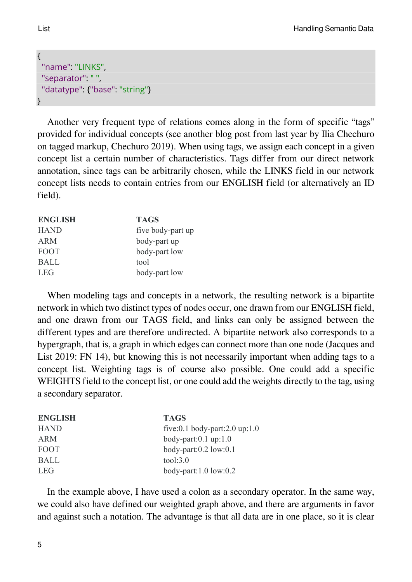```
{
 "name": "LINKS",
 "separator": " ",
 "datatype": {"base": "string"}
}
```
Another very frequent type of relations comes along in the form of specific "tags" provided for individual concepts (see another blog post from last year by Ilia Chechuro on [tagged markup,](https://calc.hypotheses.org/2476) [Chechuro 2019](https://digling.org/evobib/?bibtex=Chechuro2019BLOG)). When using tags, we assign each concept in a given concept list a certain number of characteristics. Tags differ from our direct network annotation, since tags can be arbitrarily chosen, while the LINKS field in our network concept lists needs to contain entries from our ENGLISH field (or alternatively an ID field).

| <b>ENGLISH</b> | <b>TAGS</b>       |
|----------------|-------------------|
| <b>HAND</b>    | five body-part up |
| ARM            | body-part up      |
| <b>FOOT</b>    | body-part low     |
| <b>BALL</b>    | tool              |
| <b>LEG</b>     | body-part low     |

When modeling tags and concepts in a network, the resulting network is a bipartite network in which two distinct types of nodes occur, one drawn from our ENGLISH field, and one drawn from our TAGS field, and links can only be assigned between the different types and are therefore undirected. A bipartite network also corresponds to a hypergraph, that is, a graph in which edges can connect more than one node [\(Jacques and](https://digling.org/evobib/?bibtex=Jacques2019a) [List 2019: FN 14](https://digling.org/evobib/?bibtex=Jacques2019a)), but knowing this is not necessarily important when adding tags to a concept list. Weighting tags is of course also possible. One could add a specific WEIGHTS field to the concept list, or one could add the weights directly to the tag, using a secondary separator.

| <b>ENGLISH</b> | <b>TAGS</b>                        |
|----------------|------------------------------------|
| <b>HAND</b>    | five:0.1 body-part:2.0 up:1.0      |
| <b>ARM</b>     | body-part: $0.1 \text{ up: } 1.0$  |
| <b>FOOT</b>    | body-part: $0.2$ low: $0.1$        |
| <b>BALL</b>    | tool:3.0                           |
| <b>LEG</b>     | body-part: $1.0 \text{ low} : 0.2$ |

In the example above, I have used a colon as a secondary operator. In the same way, we could also have defined our weighted graph above, and there are arguments in favor and against such a notation. The advantage is that all data are in one place, so it is clear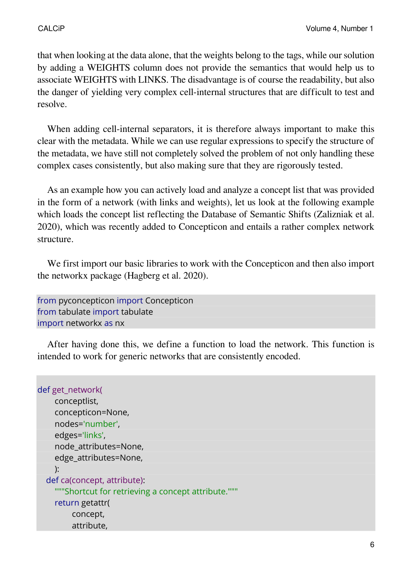that when looking at the data alone, that the weights belong to the tags, while our solution by adding a WEIGHTS column does not provide the semantics that would help us to associate WEIGHTS with LINKS. The disadvantage is of course the readability, but also the danger of yielding very complex cell-internal structures that are difficult to test and resolve.

When adding cell-internal separators, it is therefore always important to make this clear with the metadata. While we can use regular expressions to specify the structure of the metadata, we have still not completely solved the problem of not only handling these complex cases consistently, but also making sure that they are rigorously tested.

As an example how you can actively load and analyze a concept list that was provided in the form of a network (with links and weights), let us look at the following example which loads the concept list reflecting the [Database of Semantic Shifts](http://datsemshift.ru/) (Zalizniak et al. 2020), which was recently added to Concepticon and entails a rather complex network structure.

We first import our basic libraries to work with the Concepticon and then also import the [networkx](https://networkx.org/) package (Hagberg et al. 2020).

from pyconcepticon import Concepticon from tabulate import tabulate import networkx as nx

After having done this, we define a function to load the network. This function is intended to work for generic networks that are consistently encoded.

```
def get_network(
    conceptlist,
    concepticon=None,
    nodes='number',
    edges='links',
    node_attributes=None,
    edge_attributes=None,
    ):
  def ca(concept, attribute):
    """Shortcut for retrieving a concept attribute."""
    return getattr(
         concept,
         attribute,
```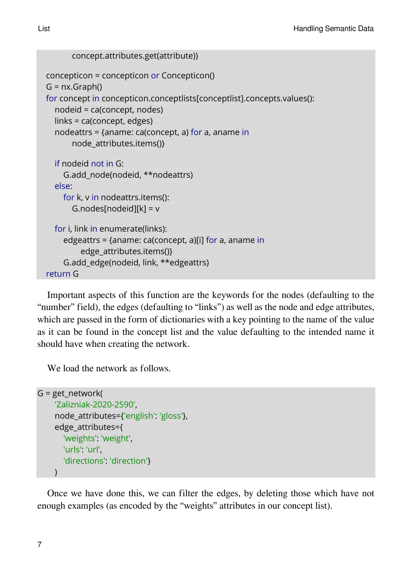```
concept.attributes.get(attribute))
concepticon = concepticon or Concepticon()
G = nx.Graph()for concept in concepticon.conceptlists[conceptlist].concepts.values():
  nodeid = ca(concept, nodes)
  links = ca(concept, edges)
  nodeattrs = {aname: ca(concept, a) for a, aname in
      node attributes.items()}
  if nodeid not in G:
    G.add_node(nodeid, **nodeattrs)
  else:
    for k, v in nodeattrs.items():
      G.nodes[nodeid][k] = v
  for i, link in enumerate(links):
    edgeattrs = {aname: ca(concept, a)[i] for a, aname in
         edge_attributes.items()}
    G.add_edge(nodeid, link, **edgeattrs)
return G
```
Important aspects of this function are the keywords for the nodes (defaulting to the "number" field), the edges (defaulting to "links") as well as the node and edge attributes, which are passed in the form of dictionaries with a key pointing to the name of the value as it can be found in the concept list and the value defaulting to the intended name it should have when creating the network.

We load the network as follows.

```
G = get network(
     'Zalizniak-2020-2590',
     node_attributes={'english': 'gloss'},
     edge_attributes={
       'weights': 'weight',
       'urls': 'url',
       'directions': 'direction'}
     \lambda
```
Once we have done this, we can filter the edges, by deleting those which have not enough examples (as encoded by the "weights" attributes in our concept list).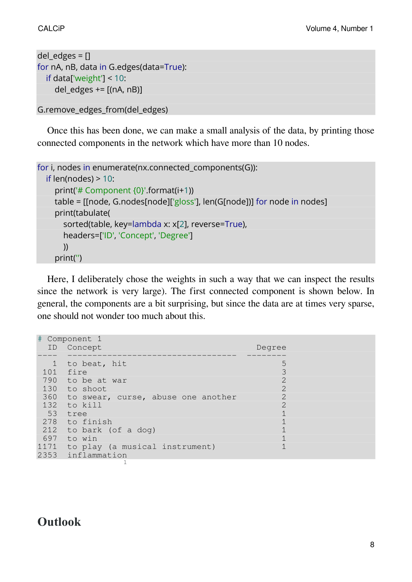```
del edges = []for nA, nB, data in G.edges(data=True):
  if data['weight'] < 10:
    del_edges += [(nA, nB)]
```

```
G.remove_edges_from(del_edges)
```
Once this has been done, we can make a small analysis of the data, by printing those connected components in the network which have more than 10 nodes.

```
for i, nodes in enumerate(nx.connected_components(G)):
  if len(nodes) > 10:
    print('# Component {0}'.format(i+1))
    table = [[node, G.nodes[node]['gloss'], len(G[node])] for node in nodes]
    print(tabulate(
       sorted(table, key=lambda x: x[2], reverse=True),
       headers=['ID', 'Concept', 'Degree']
      ))
    print('')
```
Here, I deliberately chose the weights in such a way that we can inspect the results since the network is very large). The first connected component is shown below. In general, the components are a bit surprising, but since the data are at times very sparse, one should not wonder too much about this.

| #            | Component 1                            |                             |
|--------------|----------------------------------------|-----------------------------|
| ID.          | Concept                                | Degree                      |
|              |                                        |                             |
| $\mathbf{1}$ | to beat, hit                           | 5                           |
|              | 101 fire                               |                             |
|              | 790 to be at war                       |                             |
|              | 130 to shoot                           | $\mathcal{D}$               |
|              | 360 to swear, curse, abuse one another | $\mathcal{D}_{\mathcal{L}}$ |
|              | 132 to kill                            | $\mathcal{D}_{\mathcal{A}}$ |
|              | 53 tree                                |                             |
|              | 278 to finish                          |                             |
|              | 212 to bark (of a dog)                 |                             |
|              | 697 to win                             |                             |
| 1171         | to play (a musical instrument)         |                             |
|              | 2353 inflammation                      |                             |
|              |                                        |                             |

## **Outlook**